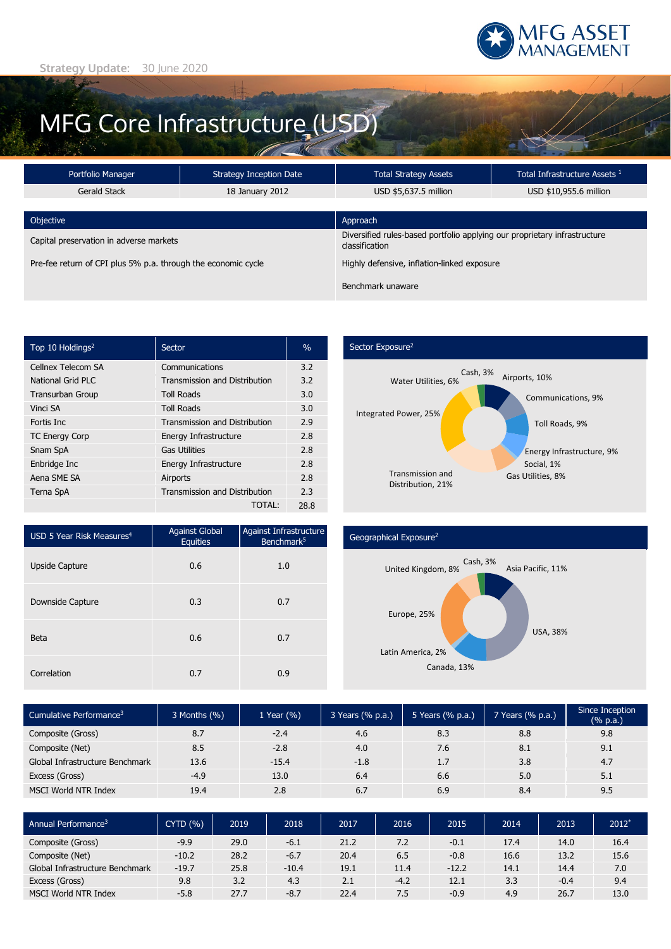

# MFG Core Infrastructure (USD)

| Portfolio Manager                                             | <b>Strategy Inception Date</b>              | <b>Total Strategy Assets</b>                                                                | Total Infrastructure Assets <sup>1</sup> |  |
|---------------------------------------------------------------|---------------------------------------------|---------------------------------------------------------------------------------------------|------------------------------------------|--|
| Gerald Stack                                                  | 18 January 2012                             | USD \$5,637.5 million                                                                       | USD \$10,955.6 million                   |  |
|                                                               |                                             |                                                                                             |                                          |  |
| Objective                                                     |                                             | Approach                                                                                    |                                          |  |
| Capital preservation in adverse markets                       |                                             | Diversified rules-based portfolio applying our proprietary infrastructure<br>classification |                                          |  |
| Pre-fee return of CPI plus 5% p.a. through the economic cycle | Highly defensive, inflation-linked exposure |                                                                                             |                                          |  |
|                                                               |                                             | Benchmark unaware                                                                           |                                          |  |

| Top 10 Holdings <sup>2</sup> | Sector                               | $\%$ |
|------------------------------|--------------------------------------|------|
| Cellnex Telecom SA           | Communications                       | 3.2  |
| National Grid PLC            | <b>Transmission and Distribution</b> | 3.2  |
| <b>Transurban Group</b>      | <b>Toll Roads</b>                    | 3.0  |
| Vinci SA                     | <b>Toll Roads</b>                    | 3.0  |
| Fortis Inc.                  | <b>Transmission and Distribution</b> | 2.9  |
| <b>TC Energy Corp</b>        | Energy Infrastructure                | 2.8  |
| Snam SpA                     | <b>Gas Utilities</b>                 | 2.8  |
| Enbridge Inc                 | Energy Infrastructure                | 2.8  |
| Aena SME SA                  | Airports                             | 2.8  |
| Terna SpA                    | <b>Transmission and Distribution</b> | 2.3  |
|                              | TOTAL:                               | 28.8 |

## Sector Exposure<sup>2</sup>



| USD 5 Year Risk Measures <sup>4</sup> | <b>Against Global</b><br><b>Equities</b> | Against Infrastructure<br>Benchmark <sup>5</sup> |
|---------------------------------------|------------------------------------------|--------------------------------------------------|
| <b>Upside Capture</b>                 | 0.6                                      | 1.0                                              |
| Downside Capture                      | 0.3                                      | 0.7                                              |
| <b>Beta</b>                           | 0.6                                      | 0.7                                              |
| Correlation                           | 0.7                                      | 0.9                                              |

### Geographical Exposure2



| Cumulative Performance <sup>3</sup> | 3 Months (%) | 1 Year $(\% )$ | 3 Years (% p.a.) | 5 Years (% p.a.) | 7 Years (% p.a.) | Since Inception<br>$(% \mathbb{R}^2)$ (% p.a.) |
|-------------------------------------|--------------|----------------|------------------|------------------|------------------|------------------------------------------------|
| Composite (Gross)                   | 8.7          | $-2.4$         | 4.6              | 8.3              | 8.8              | 9.8                                            |
| Composite (Net)                     | 8.5          | $-2.8$         | 4.0              | 7.6              | 8.1              | 9.1                                            |
| Global Infrastructure Benchmark     | 13.6         | $-15.4$        | $-1.8$           | 1.7              | 3.8              | 4.7                                            |
| Excess (Gross)                      | $-4.9$       | 13.0           | 6.4              | 6.6              | 5.0              | 5.1                                            |
| <b>MSCI World NTR Index</b>         | 19.4         | 2.8            | 6.7              | 6.9              | 8.4              | 9.5                                            |

| Annual Performance <sup>3</sup> | <b>CYTD (%)</b> | 2019 | 2018    | 2017 | 2016   | 2015    | 2014 | 2013   | $2012*$ |
|---------------------------------|-----------------|------|---------|------|--------|---------|------|--------|---------|
| Composite (Gross)               | $-9.9$          | 29.0 | $-6.1$  | 21.2 | 7.2    | $-0.1$  | 17.4 | 14.0   | 16.4    |
| Composite (Net)                 | $-10.2$         | 28.2 | $-6.7$  | 20.4 | 6.5    | $-0.8$  | 16.6 | 13.2   | 15.6    |
| Global Infrastructure Benchmark | $-19.7$         | 25.8 | $-10.4$ | 19.1 | 11.4   | $-12.2$ | 14.1 | 14.4   | 7.0     |
| Excess (Gross)                  | 9.8             | 3.2  | 4.3     | 2.1  | $-4.2$ | 12.1    | 3.3  | $-0.4$ | 9.4     |
| <b>MSCI World NTR Index</b>     | $-5.8$          | 27.7 | $-8.7$  | 22.4 | 7.5    | $-0.9$  | 4.9  | 26.7   | 13.0    |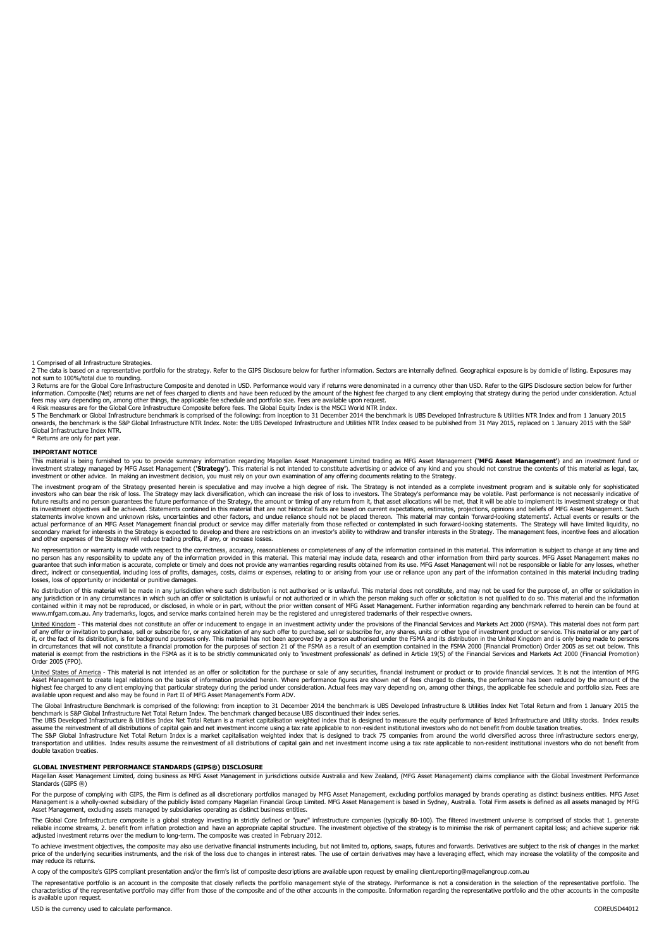1 Comprised of all Infrastructure Strategies.

2 The data is based on a representative portfolio for the strategy. Refer to the GIPS Disclosure below for further information. Sectors are internally defined. Geographical exposure is by domicile of listing. Exposures may not sum to 100%/total due to rounding.

3 Returns are for the Global Core Infrastructure Composite and denoted in USD. Performance would vary if returns were denominated in a currency other than USD. Refer to the GIPS Disclosure section below for further information. Composite (Net) returns are net of fees charged to clients and have been reduced by the amount of the highest fee charged to any client employing that strategy during the period under consideration. Actual

tees may vary depending on, among other things, the applicable fee schedule and portfolio size. Fees are available upon request.<br>4 Risk measures are for the Global Core Infrastructure Composite before fees. The Global Equi

5 The Benchmark or Global Infrastructure benchmark is comprised of the following: from inception to 31 December 2014 the benchmark is UBS Developed Infrastructure & Utilities NTR Index and from 1 January 2015<br>onwards, the Global Infrastructure Index NTR.

Returns are only for part year.

#### **IMPORTANT NOTICE**

This material is being furnished to you to provide summary information regarding Magellan Asset Managementh Limited trading as MFG Asset Management (**'MFG Asset Management'**) and an investment fund or<br>investment strategy m investment or other advice. In making an investment decision, you must rely on your own examination of any offering documents relating to the Strategy.

The investment program of the Strategy presented herein is speculative and may involve a high degree of risk. The Strategy is not intended as a complete investment program and is suitable only for sophisticated investors who can bear the risk of loss. The Strategy may lack diversification, which can increase the risk of loss to investors. The Strategy's performance may be volatile. Past performance is not necessarily indicative o future results and no person guarantees the future performance of the Strategy, the amount or timing of any return from it, that asset allocations will be met, that it will be able to implement its investment strategy or t statements involve known and unknown risks, uncertainties and other factors, and undue reliance should not be placed thereon. This material may contain 'forward-looking statements'. Actual events or results or the actual performance of an MFG Asset Management financial product or service may differ materially from those reflected or contemplated in such forward-looking statements. The Strategy will have limited liquidity, no<br>seconda and other expenses of the Strategy will reduce trading profits, if any, or increase losses.

No representation or warranty is made with respect to the correctness, accuracy, reasonableness or completeness of any of the information contained in this material. This information is subject to change at any time and no person has any responsibility to update any of the information provided in this material. This material may include data, research and other information from third party sources. MFG Asset Management makes no<br>guarantee losses, loss of opportunity or incidental or punitive damages.

No distribution of this material will be made in any jurisdiction where such distribution is not authorised or is unlawful. This material does not constitute, and may not be used for the purpose of, an offer or solicitatio contained within it may not be reproduced, or disclosed, in whole or in part, without the prior written consent of MFG Asset Management. Further information regarding any benchmark referred to herein can be found at www.mfgam.com.au. Any trademarks, logos, and service marks contained herein may be the registered and unregistered trademarks of their respective owners.

<u>United Kingdom</u> - This material does not constitute an offer or inducement to engage in an investment activity under the provisions of the Financial Services and Markets Act 2000 (FSMA). This material does not form part<br>o in circumstances that will not constitute a financial promotion for the purposes of section 21 of the FSMA as a result of an exemption contained in the FSMA 2000 (Financial Promotion) Order 2005 as set out below. This<br>mate

<u>United States of America</u> - This material is not intended as an offer or solicitation for the purchase or sale of any securities, financial instrument or product or to provide financial services. It is not the intention o available upon request and also may be found in Part II of MFG Asset Management's Form ADV.

The Global Infrastructure Benchmark is comprised of the following: from inception to 31 December 2014 the benchmark is UBS Developed Infrastructure & Utilities Index Net Total Return and from 1 January 2015 the benchmark is S&P Global Infrastructure Net Total Return Index. The benchmark changed because UBS discontinued their index series.<br>The UBS Developed Infrastructure & Utilities Index Net Total Return is a market capitalisati

assume the reinvestment of all distributions of capital gain and net investment income using a tax rate applicable to non-resident institutional investors who do not benefit from double taxation treaties.<br>The S&P Global In double taxation treaties.

#### **GLOBAL INVESTMENT PERFORMANCE STANDARDS (GIPS®) DISCLOSURE**

Magellan Asset Management Limited, doing business as MFG Asset Management in jurisdictions outside Australia and New Zealand, (MFG Asset Management) claims compliance with the Global Investment Performance Standards (GIPS ®)

For the purpose of complying with GIPS, the Firm is defined as all discretionary portfolios managed by MFG Asset Management, excluding portfolios managed by brands operating as distinct business entities. MFG Asset Management is a wholly-owned subsidiary of the publicly listed company Magellan Financial Group Limited. MFG Asset Management is based in Sydney, Australia. Total Firm assets is defined as all assets managed by MFG<br>Asset M

The Global Core Infrastructure composite is a global strategy investing in strictly defined or "pure" infrastructure companies (typically 80-100). The filtered investment universe is comprised of stocks that 1. generate reliable income streams, 2. benefit from inflation protection and have an appropriate capital structure. The investment objective of the strategy is to minimise the risk of permanent capital loss; and achieve superior risk

To achieve investment objectives, the composite may also use derivative financial instruments including, but not limited to, options, swaps, futures and forwards. Derivatives are subject to the risk of changes in the marke may reduce its returns.

A copy of the composite's GIPS compliant presentation and/or the firm's list of composite descriptions are available upon request by emailing client.reporting@magellangroup.com.au

The representative portfolio is an account in the composite that closely reflects the portfolio management style of the strategy. Performance is not a consideration in the selection of the representative portfolio. The characteristics of the representative portfolio may differ from those of the composite and of the other accounts in the composite. Information regarding the representative portfolio and the other accounts in the composite is available upon request.